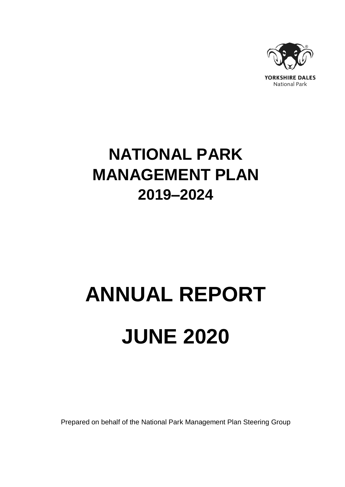

## **NATIONAL PARK MANAGEMENT PLAN 2019–2024**

# **ANNUAL REPORT JUNE 2020**

Prepared on behalf of the National Park Management Plan Steering Group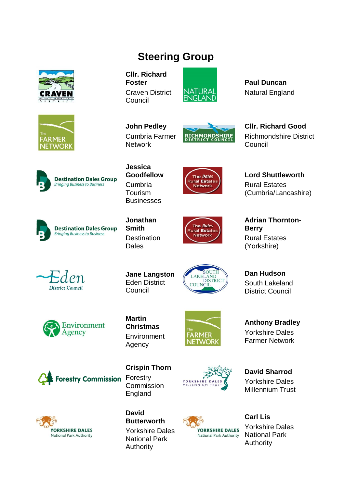

### **Steering Group**

**Cllr. Richard Foster** Craven District Council



**John Pedley** Cumbria Farmer **Network** 



**Paul Duncan** Natural England

**Cllr. Richard Good** Richmondshire District Council





**Goodfellow** Cumbria Tourism Businesses



**Lord Shuttleworth** Rural Estates (Cumbria/Lancashire)



**Jonathan Destination Dales** 

**Jane Langston** Eden District



**Adrian Thornton-Berry** Rural Estates (Yorkshire)

**Dan Hudson** South Lakeland District Council



**District Council** 

**Martin Christmas** Environment Agency

Council



**FARMER JETWORK** 

MILLENN

**Anthony Bradley** Yorkshire Dales Farmer Network

**David Sharrod** Yorkshire Dales Millennium Trust



**Crispin Thorn Forestry Commission Forestry** Commission England





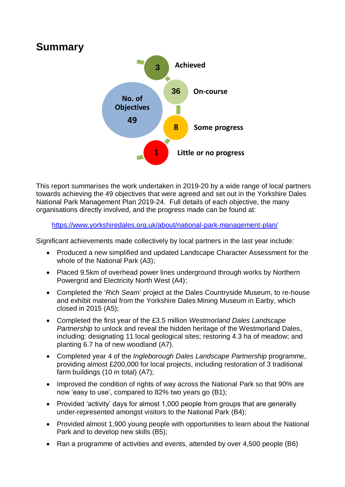## **Summary**



This report summarises the work undertaken in 2019-20 by a wide range of local partners towards achieving the 49 objectives that were agreed and set out in the Yorkshire Dales National Park Management Plan 2019-24. Full details of each objective, the many organisations directly involved, and the progress made can be found at:

<https://www.yorkshiredales.org.uk/about/national-park-management-plan/>

Significant achievements made collectively by local partners in the last year include:

- Produced a new simplified and updated Landscape Character Assessment for the whole of the National Park (A3);
- Placed 9.5km of overhead power lines underground through works by Northern Powergrid and Electricity North West (A4);
- Completed the '*Rich Seam*' project at the Dales Countryside Museum, to re-house and exhibit material from the Yorkshire Dales Mining Museum in Earby, which closed in 2015 (A5);
- Completed the first year of the £3.5 million *Westmorland Dales Landscape Partnership* to unlock and reveal the hidden heritage of the Westmorland Dales, including: designating 11 local geological sites; restoring 4.3 ha of meadow; and planting 6.7 ha of new woodland (A7).
- Completed year 4 of the *Ingleborough Dales Landscape Partnership* programme, providing almost £200,000 for local projects, including restoration of 3 traditional farm buildings (10 in total) (A7);
- Improved the condition of rights of way across the National Park so that 90% are now 'easy to use', compared to 82% two years go (B1);
- Provided 'activity' days for almost 1,000 people from groups that are generally under-represented amongst visitors to the National Park (B4);
- Provided almost 1,900 young people with opportunities to learn about the National Park and to develop new skills (B5);
- Ran a programme of activities and events, attended by over 4,500 people (B6)